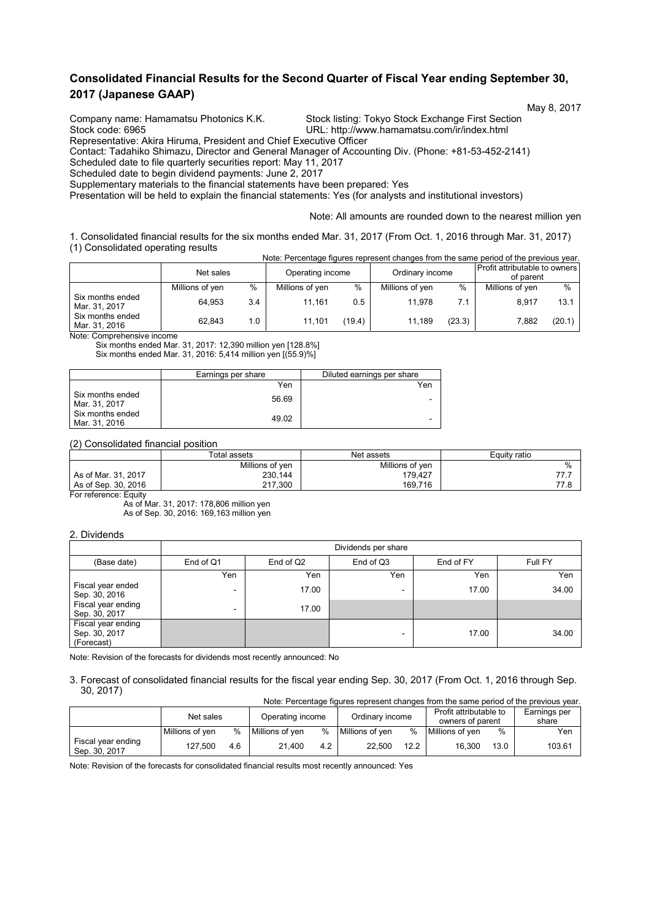## **Consolidated Financial Results for the Second Quarter of Fiscal Year ending September 30, 2017 (Japanese GAAP)**

May 8, 2017 Company name: Hamamatsu Photonics K.K. Stock listing: Tokyo Stock Exchange First Section<br>Stock code: 6965 Stock Code: 6965

URL: http://www.hamamatsu.com/ir/index.html

Representative: Akira Hiruma, President and Chief Executive Officer

Contact: Tadahiko Shimazu, Director and General Manager of Accounting Div. (Phone: +81-53-452-2141)

Scheduled date to file quarterly securities report: May 11, 2017

Scheduled date to begin dividend payments: June 2, 2017

Supplementary materials to the financial statements have been prepared: Yes

Presentation will be held to explain the financial statements: Yes (for analysts and institutional investors)

Note: All amounts are rounded down to the nearest million yen

1. Consolidated financial results for the six months ended Mar. 31, 2017 (From Oct. 1, 2016 through Mar. 31, 2017) (1) Consolidated operating results Note: Percentage figures represent changes from the same period of the previous year.

| ivute. I cittamage inquies represent thanges from the same pendu of the previous year. |                 |     |                  |        |                 |        |                                            |        |
|----------------------------------------------------------------------------------------|-----------------|-----|------------------|--------|-----------------|--------|--------------------------------------------|--------|
|                                                                                        | Net sales       |     | Operating income |        | Ordinary income |        | Profit attributable to owners<br>of parent |        |
|                                                                                        | Millions of yen | %   | Millions of yen  | %      | Millions of yen | $\%$   | Millions of yen                            | $\%$   |
| Six months ended<br>Mar. 31, 2017                                                      | 64.953          | 3.4 | 11.161           | 0.5    | 11.978          | 7.1    | 8.917                                      | 13.1   |
| Six months ended<br>Mar. 31, 2016                                                      | 62.843          | 1.0 | 11.101           | (19.4) | 11.189          | (23.3) | 7.882                                      | (20.1) |

Note: Comprehensive income

Six months ended Mar. 31, 2017: 12,390 million yen [128.8%] Six months ended Mar. 31, 2016: 5,414 million yen [(55.9)%]

|                                   | Earnings per share | Diluted earnings per share |
|-----------------------------------|--------------------|----------------------------|
|                                   | Yen                | Yen                        |
| Six months ended<br>Mar. 31, 2017 | 56.69              | -                          |
| Six months ended<br>Mar. 31, 2016 | 49.02              | ۰                          |

(2) Consolidated financial position

|                       | Total assets    | Net assets      | Equity ratio  |  |
|-----------------------|-----------------|-----------------|---------------|--|
|                       | Millions of yen | Millions of yen | $\frac{0}{0}$ |  |
| As of Mar. 31, 2017   | 230,144         | 179.427         | 77.7          |  |
| As of Sep. 30, 2016   | 217.300         | 169.716         | 77.8          |  |
| For reference: Equity |                 |                 |               |  |

As of Mar. 31, 2017: 178,806 million yen As of Sep. 30, 2016: 169,163 million yen

#### 2. Dividends

|                                                   |                          | Dividends per share |                          |           |         |  |  |  |  |
|---------------------------------------------------|--------------------------|---------------------|--------------------------|-----------|---------|--|--|--|--|
| (Base date)                                       | End of Q1                | End of Q2           | End of Q3                | End of FY | Full FY |  |  |  |  |
|                                                   | Yen                      | Yen                 | Yen                      | Yen       | Yen     |  |  |  |  |
| Fiscal year ended<br>Sep. 30, 2016                | $\overline{\phantom{a}}$ | 17.00               | $\overline{\phantom{0}}$ | 17.00     | 34.00   |  |  |  |  |
| Fiscal year ending<br>Sep. 30, 2017               | -                        | 17.00               |                          |           |         |  |  |  |  |
| Fiscal year ending<br>Sep. 30, 2017<br>(Forecast) |                          |                     |                          | 17.00     | 34.00   |  |  |  |  |

Note: Revision of the forecasts for dividends most recently announced: No

3. Forecast of consolidated financial results for the fiscal year ending Sep. 30, 2017 (From Oct. 1, 2016 through Sep. 30, 2017) Note: Percentage figures represent changes from the same period of the previous year.

|                                     | TVOIG. PEICENTAGE INQUIES TEDIESENT CHANGES HOM THE SAME DENOTO OF THE DIEVIOUS VEAL. |     |                  |      |                 |      |                        |      |              |
|-------------------------------------|---------------------------------------------------------------------------------------|-----|------------------|------|-----------------|------|------------------------|------|--------------|
|                                     | Net sales                                                                             |     | Operating income |      | Ordinary income |      | Profit attributable to |      | Earnings per |
|                                     |                                                                                       |     |                  |      |                 |      | owners of parent       |      | share        |
|                                     | Millions of ven                                                                       | %   | Millions of ven  | $\%$ | Millions of ven | %    | Millions of ven        | $\%$ | Yen          |
| Fiscal year ending<br>Sep. 30, 2017 | 127.500                                                                               | 4.6 | 21.400           | 4.2  | 22.500          | 12.2 | 16.300                 | 13.0 | 103.61       |

Note: Revision of the forecasts for consolidated financial results most recently announced: Yes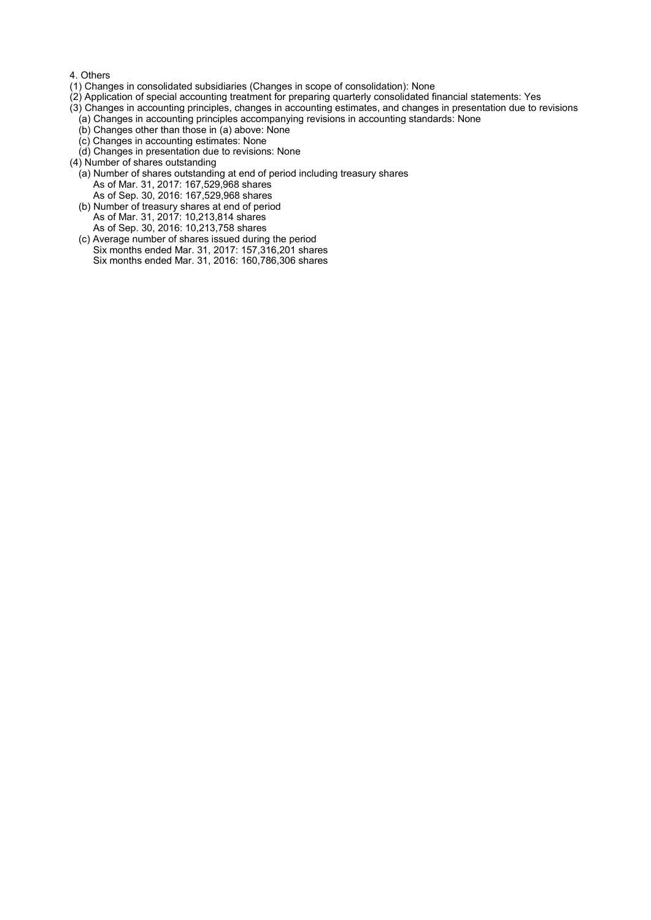#### 4. Others

- (1) Changes in consolidated subsidiaries (Changes in scope of consolidation): None
- (2) Application of special accounting treatment for preparing quarterly consolidated financial statements: Yes
- (3) Changes in accounting principles, changes in accounting estimates, and changes in presentation due to revisions
	- (a) Changes in accounting principles accompanying revisions in accounting standards: None
	- (b) Changes other than those in (a) above: None
	- (c) Changes in accounting estimates: None
	- (d) Changes in presentation due to revisions: None
- (4) Number of shares outstanding
	- (a) Number of shares outstanding at end of period including treasury shares As of Mar. 31, 2017: 167,529,968 shares As of Sep. 30, 2016: 167,529,968 shares
	- (b) Number of treasury shares at end of period As of Mar. 31, 2017: 10,213,814 shares As of Sep. 30, 2016: 10,213,758 shares
	- (c) Average number of shares issued during the period Six months ended Mar. 31, 2017: 157,316,201 shares Six months ended Mar. 31, 2016: 160,786,306 shares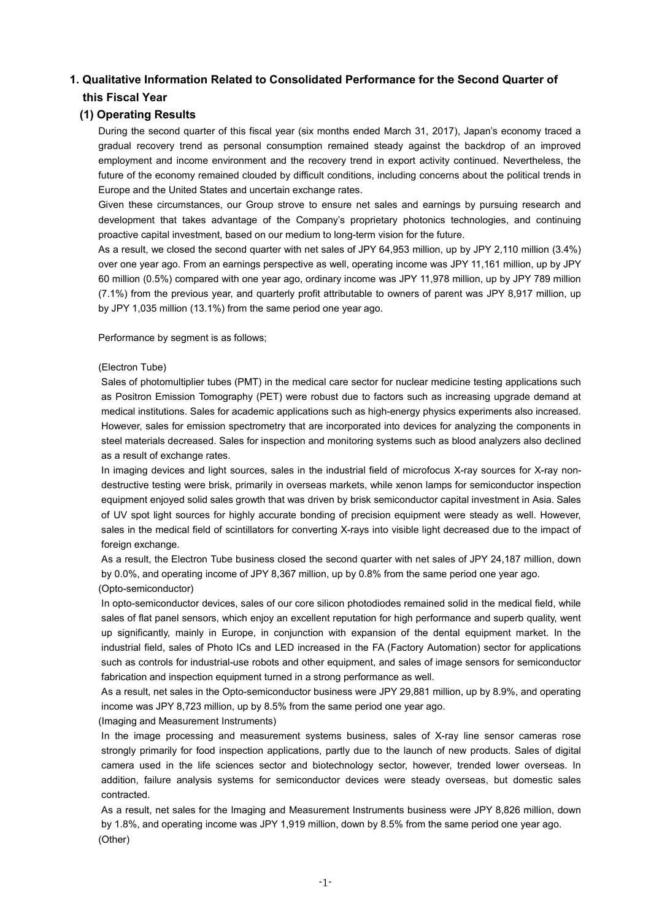# **1. Qualitative Information Related to Consolidated Performance for the Second Quarter of this Fiscal Year**

## **(1) Operating Results**

During the second quarter of this fiscal year (six months ended March 31, 2017), Japan's economy traced a gradual recovery trend as personal consumption remained steady against the backdrop of an improved employment and income environment and the recovery trend in export activity continued. Nevertheless, the future of the economy remained clouded by difficult conditions, including concerns about the political trends in Europe and the United States and uncertain exchange rates.

Given these circumstances, our Group strove to ensure net sales and earnings by pursuing research and development that takes advantage of the Company's proprietary photonics technologies, and continuing proactive capital investment, based on our medium to long-term vision for the future.

As a result, we closed the second quarter with net sales of JPY 64,953 million, up by JPY 2,110 million (3.4%) over one year ago. From an earnings perspective as well, operating income was JPY 11,161 million, up by JPY 60 million (0.5%) compared with one year ago, ordinary income was JPY 11,978 million, up by JPY 789 million (7.1%) from the previous year, and quarterly profit attributable to owners of parent was JPY 8,917 million, up by JPY 1,035 million (13.1%) from the same period one year ago.

Performance by segment is as follows;

### (Electron Tube)

Sales of photomultiplier tubes (PMT) in the medical care sector for nuclear medicine testing applications such as Positron Emission Tomography (PET) were robust due to factors such as increasing upgrade demand at medical institutions. Sales for academic applications such as high-energy physics experiments also increased. However, sales for emission spectrometry that are incorporated into devices for analyzing the components in steel materials decreased. Sales for inspection and monitoring systems such as blood analyzers also declined as a result of exchange rates.

In imaging devices and light sources, sales in the industrial field of microfocus X-ray sources for X-ray nondestructive testing were brisk, primarily in overseas markets, while xenon lamps for semiconductor inspection equipment enjoyed solid sales growth that was driven by brisk semiconductor capital investment in Asia. Sales of UV spot light sources for highly accurate bonding of precision equipment were steady as well. However, sales in the medical field of scintillators for converting X-rays into visible light decreased due to the impact of foreign exchange.

As a result, the Electron Tube business closed the second quarter with net sales of JPY 24,187 million, down by 0.0%, and operating income of JPY 8,367 million, up by 0.8% from the same period one year ago. (Opto-semiconductor)

In opto-semiconductor devices, sales of our core silicon photodiodes remained solid in the medical field, while sales of flat panel sensors, which enjoy an excellent reputation for high performance and superb quality, went up significantly, mainly in Europe, in conjunction with expansion of the dental equipment market. In the industrial field, sales of Photo ICs and LED increased in the FA (Factory Automation) sector for applications such as controls for industrial-use robots and other equipment, and sales of image sensors for semiconductor fabrication and inspection equipment turned in a strong performance as well.

As a result, net sales in the Opto-semiconductor business were JPY 29,881 million, up by 8.9%, and operating income was JPY 8,723 million, up by 8.5% from the same period one year ago.

(Imaging and Measurement Instruments)

In the image processing and measurement systems business, sales of X-ray line sensor cameras rose strongly primarily for food inspection applications, partly due to the launch of new products. Sales of digital camera used in the life sciences sector and biotechnology sector, however, trended lower overseas. In addition, failure analysis systems for semiconductor devices were steady overseas, but domestic sales contracted.

As a result, net sales for the Imaging and Measurement Instruments business were JPY 8,826 million, down by 1.8%, and operating income was JPY 1,919 million, down by 8.5% from the same period one year ago. (Other)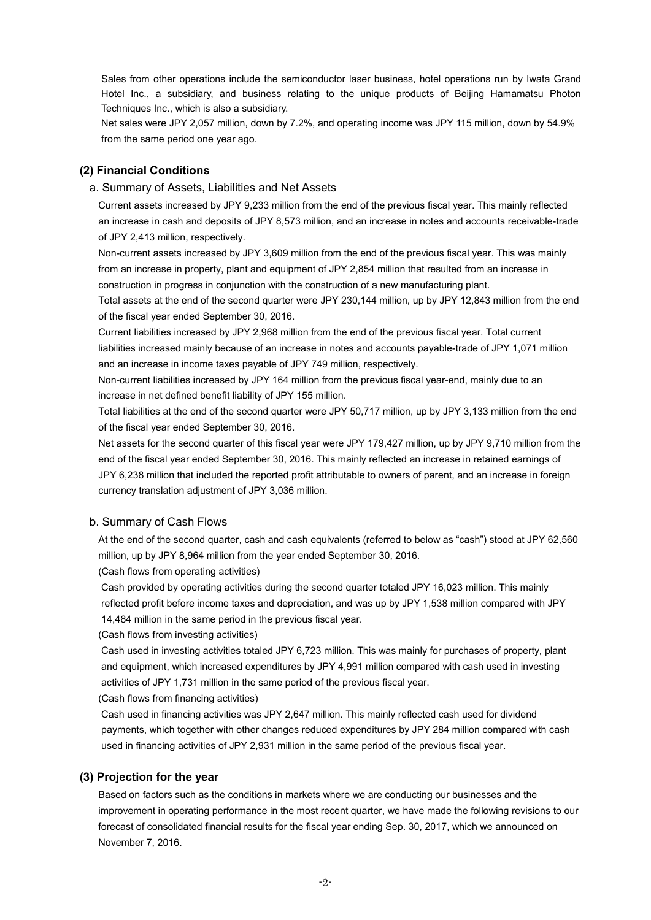Sales from other operations include the semiconductor laser business, hotel operations run by Iwata Grand Hotel Inc., a subsidiary, and business relating to the unique products of Beijing Hamamatsu Photon Techniques Inc., which is also a subsidiary.

Net sales were JPY 2,057 million, down by 7.2%, and operating income was JPY 115 million, down by 54.9% from the same period one year ago.

## **(2) Financial Conditions**

### a. Summary of Assets, Liabilities and Net Assets

Current assets increased by JPY 9,233 million from the end of the previous fiscal year. This mainly reflected an increase in cash and deposits of JPY 8,573 million, and an increase in notes and accounts receivable-trade of JPY 2,413 million, respectively.

Non-current assets increased by JPY 3,609 million from the end of the previous fiscal year. This was mainly from an increase in property, plant and equipment of JPY 2,854 million that resulted from an increase in construction in progress in conjunction with the construction of a new manufacturing plant. Total assets at the end of the second quarter were JPY 230,144 million, up by JPY 12,843 million from the end

of the fiscal year ended September 30, 2016.

Current liabilities increased by JPY 2,968 million from the end of the previous fiscal year. Total current liabilities increased mainly because of an increase in notes and accounts payable-trade of JPY 1,071 million and an increase in income taxes payable of JPY 749 million, respectively.

Non-current liabilities increased by JPY 164 million from the previous fiscal year-end, mainly due to an increase in net defined benefit liability of JPY 155 million.

Total liabilities at the end of the second quarter were JPY 50,717 million, up by JPY 3,133 million from the end of the fiscal year ended September 30, 2016.

Net assets for the second quarter of this fiscal year were JPY 179,427 million, up by JPY 9,710 million from the end of the fiscal year ended September 30, 2016. This mainly reflected an increase in retained earnings of JPY 6,238 million that included the reported profit attributable to owners of parent, and an increase in foreign currency translation adjustment of JPY 3,036 million.

### b. Summary of Cash Flows

At the end of the second quarter, cash and cash equivalents (referred to below as "cash") stood at JPY 62,560 million, up by JPY 8,964 million from the year ended September 30, 2016.

(Cash flows from operating activities)

Cash provided by operating activities during the second quarter totaled JPY 16,023 million. This mainly reflected profit before income taxes and depreciation, and was up by JPY 1,538 million compared with JPY 14,484 million in the same period in the previous fiscal year.

(Cash flows from investing activities)

Cash used in investing activities totaled JPY 6,723 million. This was mainly for purchases of property, plant and equipment, which increased expenditures by JPY 4,991 million compared with cash used in investing activities of JPY 1,731 million in the same period of the previous fiscal year.

(Cash flows from financing activities)

Cash used in financing activities was JPY 2,647 million. This mainly reflected cash used for dividend payments, which together with other changes reduced expenditures by JPY 284 million compared with cash used in financing activities of JPY 2,931 million in the same period of the previous fiscal year.

## **(3) Projection for the year**

Based on factors such as the conditions in markets where we are conducting our businesses and the improvement in operating performance in the most recent quarter, we have made the following revisions to our forecast of consolidated financial results for the fiscal year ending Sep. 30, 2017, which we announced on November 7, 2016.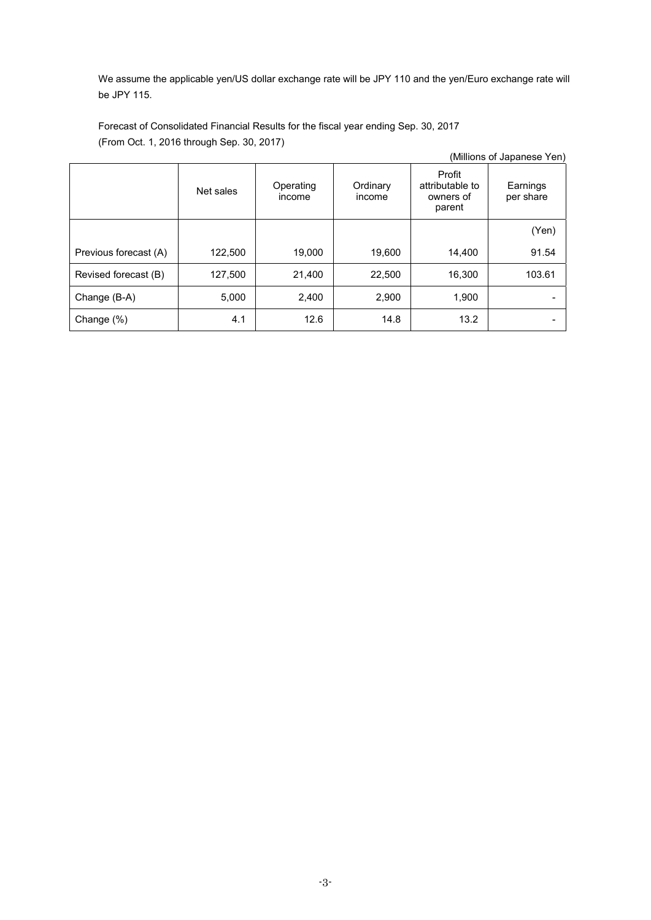We assume the applicable yen/US dollar exchange rate will be JPY 110 and the yen/Euro exchange rate will be JPY 115.

Forecast of Consolidated Financial Results for the fiscal year ending Sep. 30, 2017 (From Oct. 1, 2016 through Sep. 30, 2017)

|                       |           |                     |                    |                                                  | (Millions of Japanese Yen) |
|-----------------------|-----------|---------------------|--------------------|--------------------------------------------------|----------------------------|
|                       | Net sales | Operating<br>income | Ordinary<br>income | Profit<br>attributable to<br>owners of<br>parent | Earnings<br>per share      |
|                       |           |                     |                    |                                                  | (Yen)                      |
| Previous forecast (A) | 122,500   | 19,000              | 19,600             | 14,400                                           | 91.54                      |
| Revised forecast (B)  | 127,500   | 21,400              | 22,500             | 16,300                                           | 103.61                     |
| Change (B-A)          | 5,000     | 2,400               | 2,900              | 1,900                                            |                            |
| Change $(\%)$         | 4.1       | 12.6                | 14.8               | 13.2                                             |                            |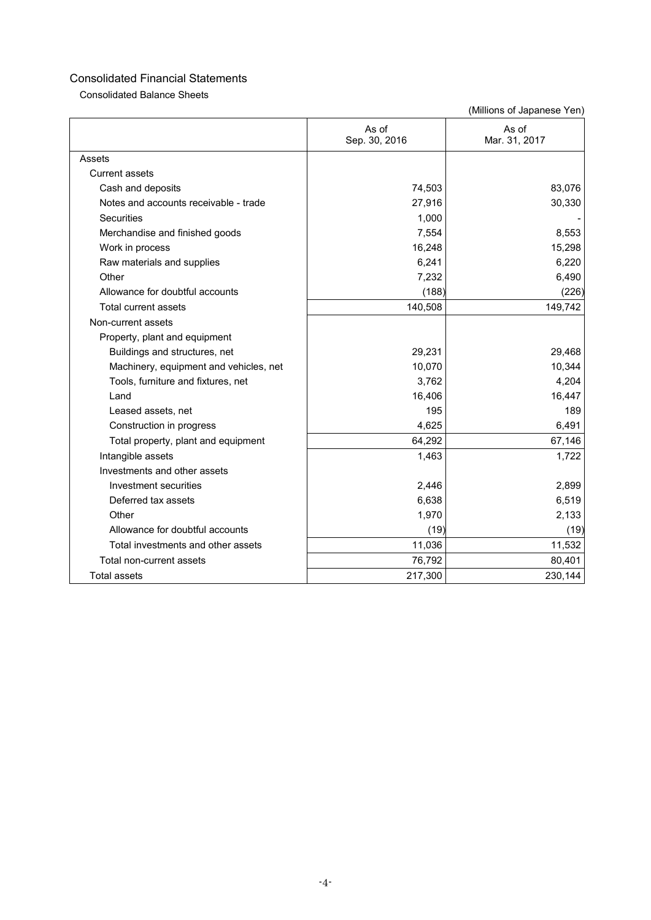Consolidated Balance Sheets

|                                        | As of<br>Sep. 30, 2016 | As of<br>Mar. 31, 2017 |
|----------------------------------------|------------------------|------------------------|
| Assets                                 |                        |                        |
| <b>Current assets</b>                  |                        |                        |
| Cash and deposits                      | 74,503                 | 83,076                 |
| Notes and accounts receivable - trade  | 27,916                 | 30,330                 |
| Securities                             | 1,000                  |                        |
| Merchandise and finished goods         | 7,554                  | 8,553                  |
| Work in process                        | 16,248                 | 15,298                 |
| Raw materials and supplies             | 6,241                  | 6,220                  |
| Other                                  | 7,232                  | 6,490                  |
| Allowance for doubtful accounts        | (188)                  | (226)                  |
| <b>Total current assets</b>            | 140,508                | 149,742                |
| Non-current assets                     |                        |                        |
| Property, plant and equipment          |                        |                        |
| Buildings and structures, net          | 29,231                 | 29,468                 |
| Machinery, equipment and vehicles, net | 10,070                 | 10,344                 |
| Tools, furniture and fixtures, net     | 3,762                  | 4,204                  |
| Land                                   | 16,406                 | 16,447                 |
| Leased assets, net                     | 195                    | 189                    |
| Construction in progress               | 4,625                  | 6,491                  |
| Total property, plant and equipment    | 64,292                 | 67,146                 |
| Intangible assets                      | 1,463                  | 1,722                  |
| Investments and other assets           |                        |                        |
| Investment securities                  | 2,446                  | 2,899                  |
| Deferred tax assets                    | 6,638                  | 6,519                  |
| Other                                  | 1,970                  | 2,133                  |
| Allowance for doubtful accounts        | (19)                   | (19)                   |
| Total investments and other assets     | 11,036                 | 11,532                 |
| Total non-current assets               | 76,792                 | 80,401                 |
| <b>Total assets</b>                    | 217,300                | 230,144                |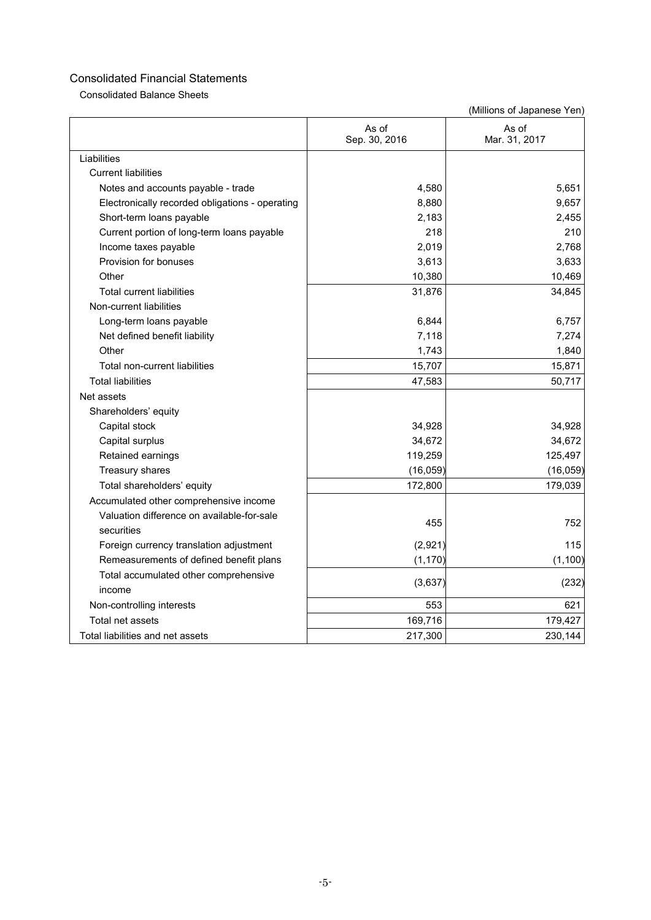Consolidated Balance Sheets

|                                                 | As of<br>Sep. 30, 2016 | As of<br>Mar. 31, 2017 |
|-------------------------------------------------|------------------------|------------------------|
| Liabilities                                     |                        |                        |
| <b>Current liabilities</b>                      |                        |                        |
| Notes and accounts payable - trade              | 4,580                  | 5,651                  |
| Electronically recorded obligations - operating | 8,880                  | 9,657                  |
| Short-term loans payable                        | 2,183                  | 2,455                  |
| Current portion of long-term loans payable      | 218                    | 210                    |
| Income taxes payable                            | 2,019                  | 2,768                  |
| Provision for bonuses                           | 3,613                  | 3,633                  |
| Other                                           | 10,380                 | 10,469                 |
| <b>Total current liabilities</b>                | 31,876                 | 34,845                 |
| Non-current liabilities                         |                        |                        |
| Long-term loans payable                         | 6,844                  | 6,757                  |
| Net defined benefit liability                   | 7,118                  | 7,274                  |
| Other                                           | 1,743                  | 1,840                  |
| Total non-current liabilities                   | 15,707                 | 15,871                 |
| <b>Total liabilities</b>                        | 47,583                 | 50,717                 |
| Net assets                                      |                        |                        |
| Shareholders' equity                            |                        |                        |
| Capital stock                                   | 34,928                 | 34,928                 |
| Capital surplus                                 | 34,672                 | 34,672                 |
| Retained earnings                               | 119,259                | 125,497                |
| Treasury shares                                 | (16, 059)              | (16, 059)              |
| Total shareholders' equity                      | 172,800                | 179,039                |
| Accumulated other comprehensive income          |                        |                        |
| Valuation difference on available-for-sale      | 455                    | 752                    |
| securities                                      |                        |                        |
| Foreign currency translation adjustment         | (2,921)                | 115                    |
| Remeasurements of defined benefit plans         | (1, 170)               | (1, 100)               |
| Total accumulated other comprehensive           | (3,637)                | (232)                  |
| income                                          |                        |                        |
| Non-controlling interests                       | 553                    | 621                    |
| Total net assets                                | 169,716                | 179,427                |
| Total liabilities and net assets                | 217,300                | 230,144                |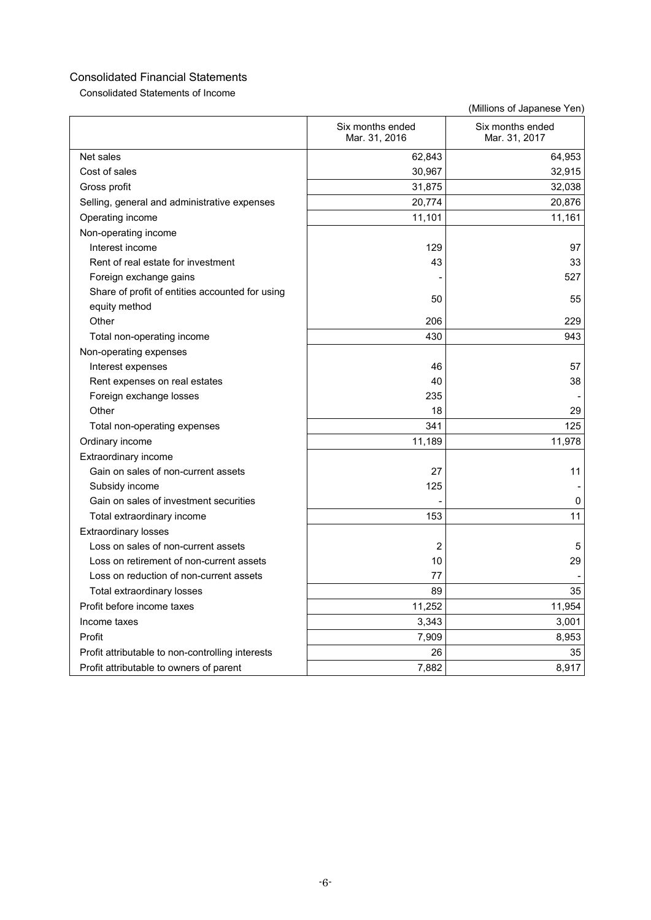Consolidated Statements of Income

|                                                  | Six months ended<br>Mar. 31, 2016 | Six months ended<br>Mar. 31, 2017 |
|--------------------------------------------------|-----------------------------------|-----------------------------------|
| Net sales                                        | 62,843                            | 64,953                            |
| Cost of sales                                    | 30,967                            | 32,915                            |
| Gross profit                                     | 31,875                            | 32,038                            |
| Selling, general and administrative expenses     | 20,774                            | 20,876                            |
| Operating income                                 | 11,101                            | 11,161                            |
| Non-operating income                             |                                   |                                   |
| Interest income                                  | 129                               | 97                                |
| Rent of real estate for investment               | 43                                | 33                                |
| Foreign exchange gains                           |                                   | 527                               |
| Share of profit of entities accounted for using  | 50                                | 55                                |
| equity method                                    |                                   |                                   |
| Other                                            | 206                               | 229                               |
| Total non-operating income                       | 430                               | 943                               |
| Non-operating expenses                           |                                   |                                   |
| Interest expenses                                | 46                                | 57                                |
| Rent expenses on real estates                    | 40                                | 38                                |
| Foreign exchange losses                          | 235                               |                                   |
| Other                                            | 18                                | 29                                |
| Total non-operating expenses                     | 341                               | 125                               |
| Ordinary income                                  | 11,189                            | 11,978                            |
| Extraordinary income                             |                                   |                                   |
| Gain on sales of non-current assets              | 27                                | 11                                |
| Subsidy income                                   | 125                               |                                   |
| Gain on sales of investment securities           |                                   | 0                                 |
| Total extraordinary income                       | 153                               | 11                                |
| <b>Extraordinary losses</b>                      |                                   |                                   |
| Loss on sales of non-current assets              | 2                                 | 5                                 |
| Loss on retirement of non-current assets         | 10                                | 29                                |
| Loss on reduction of non-current assets          | 77                                |                                   |
| Total extraordinary losses                       | 89                                | 35                                |
| Profit before income taxes                       | 11,252                            | 11,954                            |
| Income taxes                                     | 3,343                             | 3,001                             |
| Profit                                           | 7,909                             | 8,953                             |
| Profit attributable to non-controlling interests | 26                                | 35                                |
| Profit attributable to owners of parent          | 7,882                             | 8,917                             |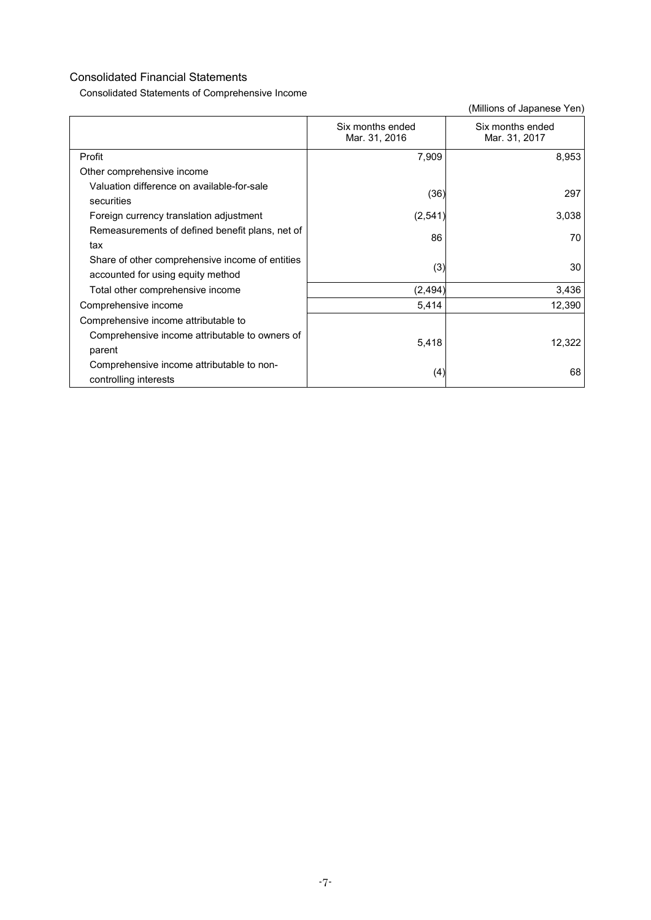Consolidated Statements of Comprehensive Income

|                                                 | Six months ended<br>Mar. 31, 2016 | Six months ended<br>Mar. 31, 2017 |
|-------------------------------------------------|-----------------------------------|-----------------------------------|
| Profit                                          | 7,909                             | 8,953                             |
| Other comprehensive income                      |                                   |                                   |
| Valuation difference on available-for-sale      | (36)                              | 297                               |
| securities                                      |                                   |                                   |
| Foreign currency translation adjustment         | (2,541)                           | 3,038                             |
| Remeasurements of defined benefit plans, net of | 86                                | 70                                |
| tax                                             |                                   |                                   |
| Share of other comprehensive income of entities | (3)                               | 30                                |
| accounted for using equity method               |                                   |                                   |
| Total other comprehensive income                | (2, 494)                          | 3,436                             |
| Comprehensive income                            | 5,414                             | 12,390                            |
| Comprehensive income attributable to            |                                   |                                   |
| Comprehensive income attributable to owners of  | 5,418                             | 12,322                            |
| parent                                          |                                   |                                   |
| Comprehensive income attributable to non-       | (4)                               | 68                                |
| controlling interests                           |                                   |                                   |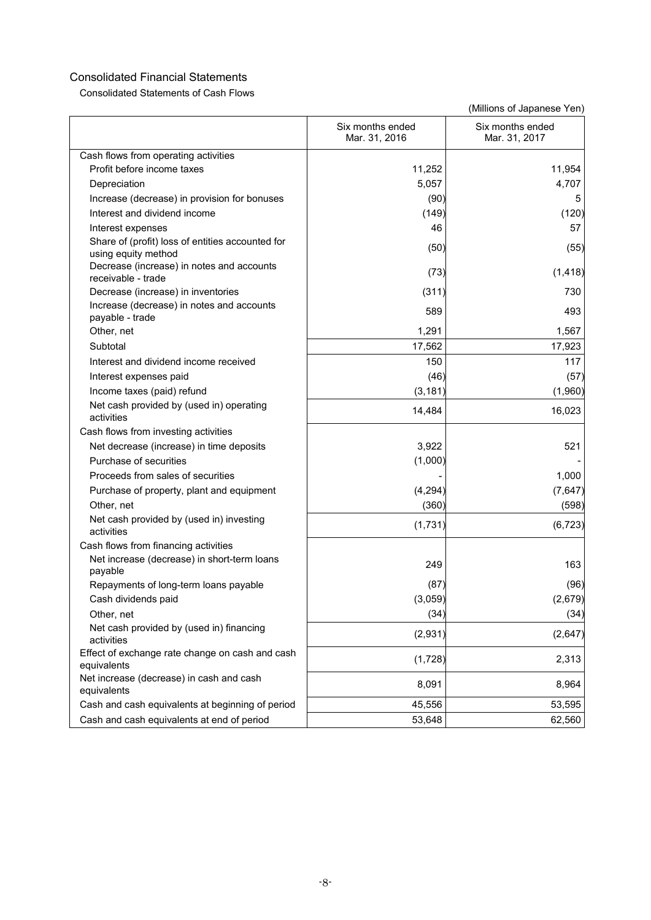Consolidated Statements of Cash Flows

|                                                                         | Six months ended<br>Mar. 31, 2016 | Six months ended<br>Mar. 31, 2017 |
|-------------------------------------------------------------------------|-----------------------------------|-----------------------------------|
| Cash flows from operating activities                                    |                                   |                                   |
| Profit before income taxes                                              | 11,252                            | 11,954                            |
| Depreciation                                                            | 5,057                             | 4,707                             |
| Increase (decrease) in provision for bonuses                            | (90)                              | 5                                 |
| Interest and dividend income                                            | (149)                             | (120)                             |
| Interest expenses                                                       | 46                                | 57                                |
| Share of (profit) loss of entities accounted for<br>using equity method | (50)                              | (55)                              |
| Decrease (increase) in notes and accounts<br>receivable - trade         | (73)                              | (1, 418)                          |
| Decrease (increase) in inventories                                      | (311)                             | 730                               |
| Increase (decrease) in notes and accounts<br>payable - trade            | 589                               | 493                               |
| Other, net                                                              | 1,291                             | 1,567                             |
| Subtotal                                                                | 17,562                            | 17,923                            |
| Interest and dividend income received                                   | 150                               | 117                               |
| Interest expenses paid                                                  | (46)                              | (57)                              |
| Income taxes (paid) refund                                              | (3, 181)                          | (1,960)                           |
| Net cash provided by (used in) operating<br>activities                  | 14,484                            | 16,023                            |
| Cash flows from investing activities                                    |                                   |                                   |
| Net decrease (increase) in time deposits                                | 3,922                             | 521                               |
| Purchase of securities                                                  | (1,000)                           |                                   |
| Proceeds from sales of securities                                       |                                   | 1,000                             |
| Purchase of property, plant and equipment                               | (4, 294)                          | (7,647)                           |
| Other, net                                                              | (360)                             | (598)                             |
| Net cash provided by (used in) investing<br>activities                  | (1,731)                           | (6, 723)                          |
| Cash flows from financing activities                                    |                                   |                                   |
| Net increase (decrease) in short-term loans<br>payable                  | 249                               | 163                               |
| Repayments of long-term loans payable                                   | (87)                              | (96)                              |
| Cash dividends paid                                                     | (3,059)                           | (2,679)                           |
| Other, net                                                              | (34)                              | (34)                              |
| Net cash provided by (used in) financing<br>activities                  | (2,931)                           | (2,647)                           |
| Effect of exchange rate change on cash and cash<br>equivalents          | (1,728)                           | 2,313                             |
| Net increase (decrease) in cash and cash<br>equivalents                 | 8,091                             | 8,964                             |
| Cash and cash equivalents at beginning of period                        | 45,556                            | 53,595                            |
| Cash and cash equivalents at end of period                              | 53,648                            | 62,560                            |